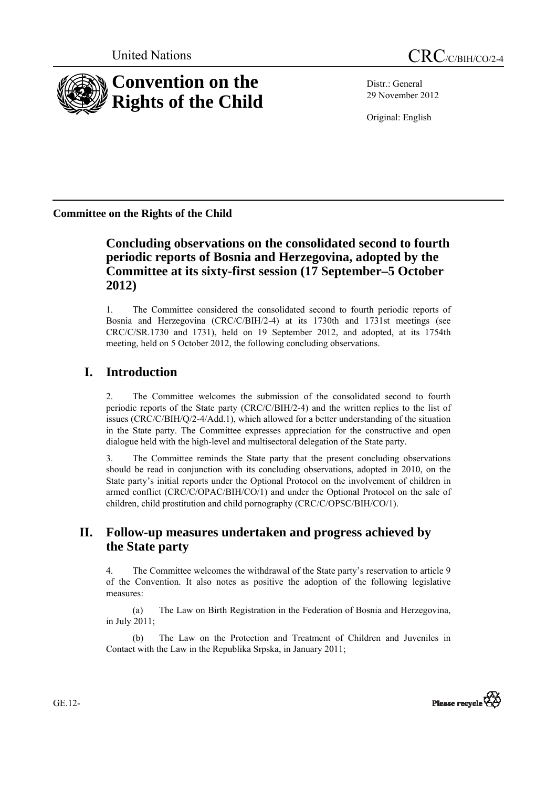

Distr.: General 29 November 2012

Original: English

**Committee on the Rights of the Child** 

# **Concluding observations on the consolidated second to fourth periodic reports of Bosnia and Herzegovina, adopted by the Committee at its sixty-first session (17 September–5 October 2012)**

1. The Committee considered the consolidated second to fourth periodic reports of Bosnia and Herzegovina (CRC/C/BIH/2-4) at its 1730th and 1731st meetings (see CRC/C/SR.1730 and 1731), held on 19 September 2012, and adopted, at its 1754th meeting, held on 5 October 2012, the following concluding observations.

# **I. Introduction**

2. The Committee welcomes the submission of the consolidated second to fourth periodic reports of the State party (CRC/C/BIH/2-4) and the written replies to the list of issues (CRC/C/BIH/Q/2-4/Add.1), which allowed for a better understanding of the situation in the State party. The Committee expresses appreciation for the constructive and open dialogue held with the high-level and multisectoral delegation of the State party.

3. The Committee reminds the State party that the present concluding observations should be read in conjunction with its concluding observations, adopted in 2010, on the State party's initial reports under the Optional Protocol on the involvement of children in armed conflict (CRC/C/OPAC/BIH/CO/1) and under the Optional Protocol on the sale of children, child prostitution and child pornography (CRC/C/OPSC/BIH/CO/1).

# **II. Follow-up measures undertaken and progress achieved by the State party**

4. The Committee welcomes the withdrawal of the State party's reservation to article 9 of the Convention. It also notes as positive the adoption of the following legislative measures:

(a) The Law on Birth Registration in the Federation of Bosnia and Herzegovina, in July 2011;

(b) The Law on the Protection and Treatment of Children and Juveniles in Contact with the Law in the Republika Srpska, in January 2011;



GE.12-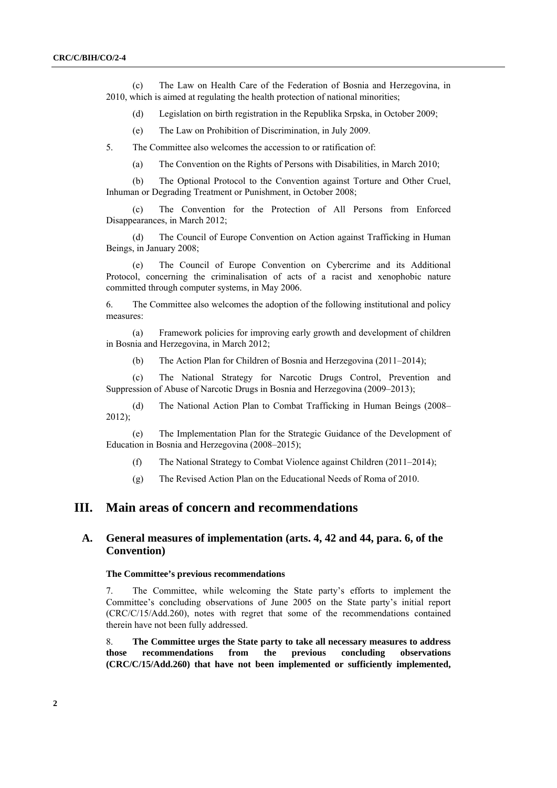(c) The Law on Health Care of the Federation of Bosnia and Herzegovina, in 2010, which is aimed at regulating the health protection of national minorities;

(d) Legislation on birth registration in the Republika Srpska, in October 2009;

(e) The Law on Prohibition of Discrimination, in July 2009.

5. The Committee also welcomes the accession to or ratification of:

(a) The Convention on the Rights of Persons with Disabilities, in March 2010;

(b) The Optional Protocol to the Convention against Torture and Other Cruel, Inhuman or Degrading Treatment or Punishment, in October 2008;

(c) The Convention for the Protection of All Persons from Enforced Disappearances, in March 2012;

(d) The Council of Europe Convention on Action against Trafficking in Human Beings, in January 2008;

(e) The Council of Europe Convention on Cybercrime and its Additional Protocol, concerning the criminalisation of acts of a racist and xenophobic nature committed through computer systems, in May 2006.

6. The Committee also welcomes the adoption of the following institutional and policy measures:

(a) Framework policies for improving early growth and development of children in Bosnia and Herzegovina, in March 2012;

(b) The Action Plan for Children of Bosnia and Herzegovina (2011–2014);

(c) The National Strategy for Narcotic Drugs Control, Prevention and Suppression of Abuse of Narcotic Drugs in Bosnia and Herzegovina (2009–2013);

(d) The National Action Plan to Combat Trafficking in Human Beings (2008– 2012);

(e) The Implementation Plan for the Strategic Guidance of the Development of Education in Bosnia and Herzegovina (2008–2015);

(f) The National Strategy to Combat Violence against Children (2011–2014);

(g) The Revised Action Plan on the Educational Needs of Roma of 2010.

# **III. Main areas of concern and recommendations**

# **A. General measures of implementation (arts. 4, 42 and 44, para. 6, of the Convention)**

## **The Committee's previous recommendations**

7. The Committee, while welcoming the State party's efforts to implement the Committee's concluding observations of June 2005 on the State party's initial report (CRC/C/15/Add.260), notes with regret that some of the recommendations contained therein have not been fully addressed.

8. **The Committee urges the State party to take all necessary measures to address those recommendations from the previous concluding observations (CRC/C/15/Add.260) that have not been implemented or sufficiently implemented,**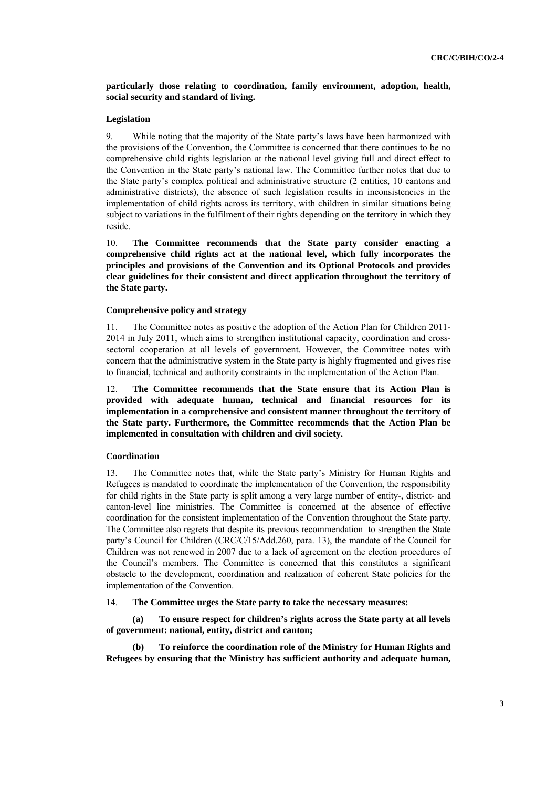**particularly those relating to coordination, family environment, adoption, health, social security and standard of living.** 

# **Legislation**

9. While noting that the majority of the State party's laws have been harmonized with the provisions of the Convention, the Committee is concerned that there continues to be no comprehensive child rights legislation at the national level giving full and direct effect to the Convention in the State party's national law. The Committee further notes that due to the State party's complex political and administrative structure (2 entities, 10 cantons and administrative districts), the absence of such legislation results in inconsistencies in the implementation of child rights across its territory, with children in similar situations being subject to variations in the fulfilment of their rights depending on the territory in which they reside.

10. **The Committee recommends that the State party consider enacting a comprehensive child rights act at the national level, which fully incorporates the principles and provisions of the Convention and its Optional Protocols and provides clear guidelines for their consistent and direct application throughout the territory of the State party.** 

### **Comprehensive policy and strategy**

11. The Committee notes as positive the adoption of the Action Plan for Children 2011- 2014 in July 2011, which aims to strengthen institutional capacity, coordination and crosssectoral cooperation at all levels of government. However, the Committee notes with concern that the administrative system in the State party is highly fragmented and gives rise to financial, technical and authority constraints in the implementation of the Action Plan.

12. **The Committee recommends that the State ensure that its Action Plan is provided with adequate human, technical and financial resources for its implementation in a comprehensive and consistent manner throughout the territory of the State party. Furthermore, the Committee recommends that the Action Plan be implemented in consultation with children and civil society.** 

#### **Coordination**

13. The Committee notes that, while the State party's Ministry for Human Rights and Refugees is mandated to coordinate the implementation of the Convention, the responsibility for child rights in the State party is split among a very large number of entity-, district- and canton-level line ministries. The Committee is concerned at the absence of effective coordination for the consistent implementation of the Convention throughout the State party. The Committee also regrets that despite its previous recommendation to strengthen the State party's Council for Children (CRC/C/15/Add.260, para. 13), the mandate of the Council for Children was not renewed in 2007 due to a lack of agreement on the election procedures of the Council's members. The Committee is concerned that this constitutes a significant obstacle to the development, coordination and realization of coherent State policies for the implementation of the Convention.

14. **The Committee urges the State party to take the necessary measures:** 

**(a) To ensure respect for children's rights across the State party at all levels of government: national, entity, district and canton;** 

**(b) To reinforce the coordination role of the Ministry for Human Rights and Refugees by ensuring that the Ministry has sufficient authority and adequate human,**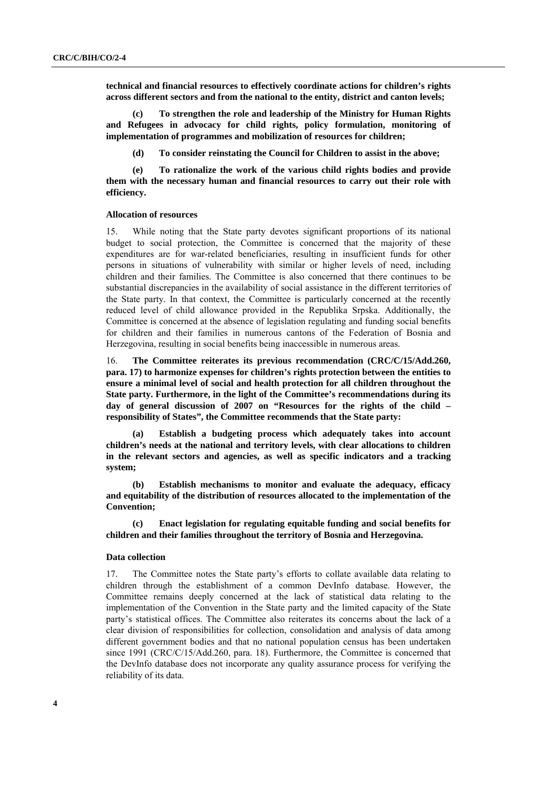**technical and financial resources to effectively coordinate actions for children's rights across different sectors and from the national to the entity, district and canton levels;** 

**(c) To strengthen the role and leadership of the Ministry for Human Rights and Refugees in advocacy for child rights, policy formulation, monitoring of implementation of programmes and mobilization of resources for children;** 

**(d) To consider reinstating the Council for Children to assist in the above;** 

**(e) To rationalize the work of the various child rights bodies and provide them with the necessary human and financial resources to carry out their role with efficiency.** 

#### **Allocation of resources**

15. While noting that the State party devotes significant proportions of its national budget to social protection, the Committee is concerned that the majority of these expenditures are for war-related beneficiaries, resulting in insufficient funds for other persons in situations of vulnerability with similar or higher levels of need, including children and their families. The Committee is also concerned that there continues to be substantial discrepancies in the availability of social assistance in the different territories of the State party. In that context, the Committee is particularly concerned at the recently reduced level of child allowance provided in the Republika Srpska. Additionally, the Committee is concerned at the absence of legislation regulating and funding social benefits for children and their families in numerous cantons of the Federation of Bosnia and Herzegovina, resulting in social benefits being inaccessible in numerous areas.

16. **The Committee reiterates its previous recommendation (CRC/C/15/Add.260, para. 17) to harmonize expenses for children's rights protection between the entities to ensure a minimal level of social and health protection for all children throughout the State party. Furthermore, in the light of the Committee's recommendations during its day of general discussion of 2007 on "Resources for the rights of the child – responsibility of States", the Committee recommends that the State party:** 

**(a) Establish a budgeting process which adequately takes into account children's needs at the national and territory levels, with clear allocations to children in the relevant sectors and agencies, as well as specific indicators and a tracking system;** 

**(b) Establish mechanisms to monitor and evaluate the adequacy, efficacy and equitability of the distribution of resources allocated to the implementation of the Convention;** 

**(c) Enact legislation for regulating equitable funding and social benefits for children and their families throughout the territory of Bosnia and Herzegovina.** 

### **Data collection**

17. The Committee notes the State party's efforts to collate available data relating to children through the establishment of a common DevInfo database. However, the Committee remains deeply concerned at the lack of statistical data relating to the implementation of the Convention in the State party and the limited capacity of the State party's statistical offices. The Committee also reiterates its concerns about the lack of a clear division of responsibilities for collection, consolidation and analysis of data among different government bodies and that no national population census has been undertaken since 1991 (CRC/C/15/Add.260, para. 18). Furthermore, the Committee is concerned that the DevInfo database does not incorporate any quality assurance process for verifying the reliability of its data.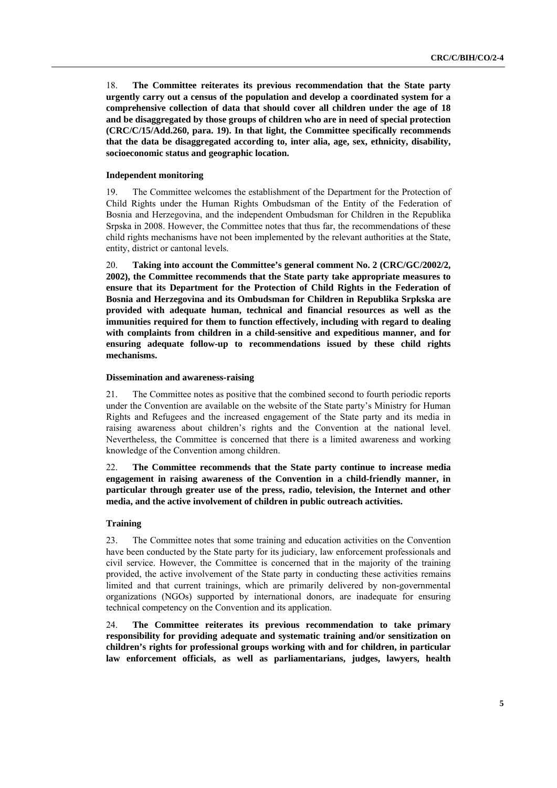18. **The Committee reiterates its previous recommendation that the State party urgently carry out a census of the population and develop a coordinated system for a comprehensive collection of data that should cover all children under the age of 18 and be disaggregated by those groups of children who are in need of special protection (CRC/C/15/Add.260, para. 19). In that light, the Committee specifically recommends that the data be disaggregated according to, inter alia, age, sex, ethnicity, disability, socioeconomic status and geographic location.** 

### **Independent monitoring**

19. The Committee welcomes the establishment of the Department for the Protection of Child Rights under the Human Rights Ombudsman of the Entity of the Federation of Bosnia and Herzegovina, and the independent Ombudsman for Children in the Republika Srpska in 2008. However, the Committee notes that thus far, the recommendations of these child rights mechanisms have not been implemented by the relevant authorities at the State, entity, district or cantonal levels.

20. **Taking into account the Committee's general comment No. 2 (CRC/GC/2002/2, 2002), the Committee recommends that the State party take appropriate measures to ensure that its Department for the Protection of Child Rights in the Federation of Bosnia and Herzegovina and its Ombudsman for Children in Republika Srpkska are provided with adequate human, technical and financial resources as well as the immunities required for them to function effectively, including with regard to dealing with complaints from children in a child-sensitive and expeditious manner, and for ensuring adequate follow-up to recommendations issued by these child rights mechanisms.** 

#### **Dissemination and awareness-raising**

21. The Committee notes as positive that the combined second to fourth periodic reports under the Convention are available on the website of the State party's Ministry for Human Rights and Refugees and the increased engagement of the State party and its media in raising awareness about children's rights and the Convention at the national level. Nevertheless, the Committee is concerned that there is a limited awareness and working knowledge of the Convention among children.

22. **The Committee recommends that the State party continue to increase media engagement in raising awareness of the Convention in a child-friendly manner, in particular through greater use of the press, radio, television, the Internet and other media, and the active involvement of children in public outreach activities.** 

### **Training**

23. The Committee notes that some training and education activities on the Convention have been conducted by the State party for its judiciary, law enforcement professionals and civil service. However, the Committee is concerned that in the majority of the training provided, the active involvement of the State party in conducting these activities remains limited and that current trainings, which are primarily delivered by non-governmental organizations (NGOs) supported by international donors, are inadequate for ensuring technical competency on the Convention and its application.

24. **The Committee reiterates its previous recommendation to take primary responsibility for providing adequate and systematic training and/or sensitization on children's rights for professional groups working with and for children, in particular law enforcement officials, as well as parliamentarians, judges, lawyers, health**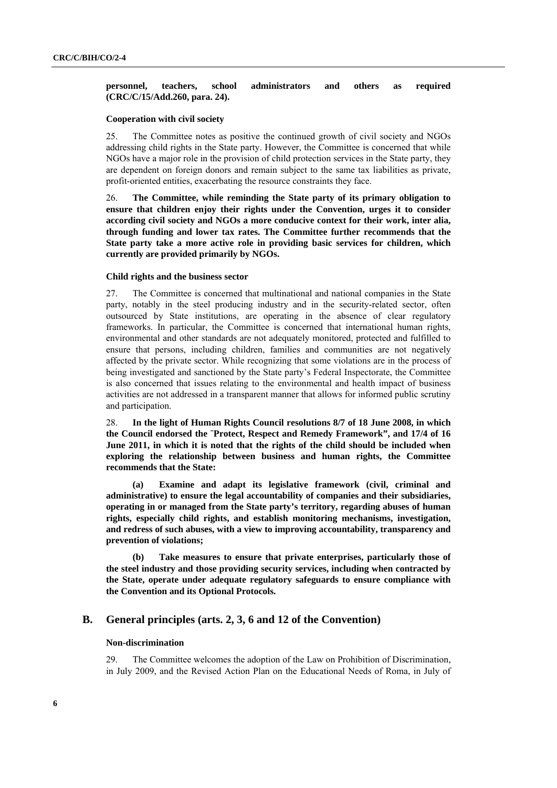### **personnel, teachers, school administrators and others as required (CRC/C/15/Add.260, para. 24).**

### **Cooperation with civil society**

25. The Committee notes as positive the continued growth of civil society and NGOs addressing child rights in the State party. However, the Committee is concerned that while NGOs have a major role in the provision of child protection services in the State party, they are dependent on foreign donors and remain subject to the same tax liabilities as private, profit-oriented entities, exacerbating the resource constraints they face.

26. **The Committee, while reminding the State party of its primary obligation to ensure that children enjoy their rights under the Convention, urges it to consider according civil society and NGOs a more conducive context for their work, inter alia, through funding and lower tax rates. The Committee further recommends that the State party take a more active role in providing basic services for children, which currently are provided primarily by NGOs.** 

### **Child rights and the business sector**

27. The Committee is concerned that multinational and national companies in the State party, notably in the steel producing industry and in the security-related sector, often outsourced by State institutions, are operating in the absence of clear regulatory frameworks. In particular, the Committee is concerned that international human rights, environmental and other standards are not adequately monitored, protected and fulfilled to ensure that persons, including children, families and communities are not negatively affected by the private sector. While recognizing that some violations are in the process of being investigated and sanctioned by the State party's Federal Inspectorate, the Committee is also concerned that issues relating to the environmental and health impact of business activities are not addressed in a transparent manner that allows for informed public scrutiny and participation.

28. **In the light of Human Rights Council resolutions 8/7 of 18 June 2008, in which the Council endorsed the ¨Protect, Respect and Remedy Framework", and 17/4 of 16 June 2011, in which it is noted that the rights of the child should be included when exploring the relationship between business and human rights, the Committee recommends that the State:** 

**(a) Examine and adapt its legislative framework (civil, criminal and administrative) to ensure the legal accountability of companies and their subsidiaries, operating in or managed from the State party's territory, regarding abuses of human rights, especially child rights, and establish monitoring mechanisms, investigation, and redress of such abuses, with a view to improving accountability, transparency and prevention of violations;** 

**(b) Take measures to ensure that private enterprises, particularly those of the steel industry and those providing security services, including when contracted by the State, operate under adequate regulatory safeguards to ensure compliance with the Convention and its Optional Protocols.** 

# **B. General principles (arts. 2, 3, 6 and 12 of the Convention)**

### **Non-discrimination**

29. The Committee welcomes the adoption of the Law on Prohibition of Discrimination, in July 2009, and the Revised Action Plan on the Educational Needs of Roma, in July of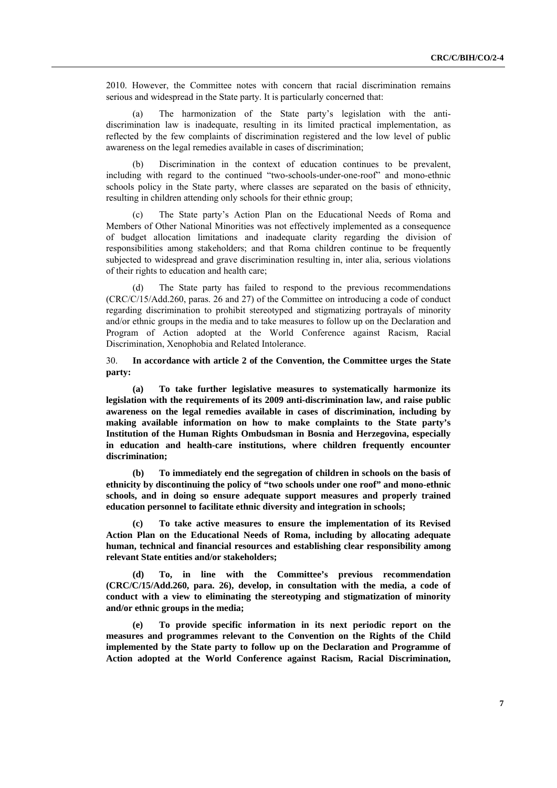2010. However, the Committee notes with concern that racial discrimination remains serious and widespread in the State party. It is particularly concerned that:

(a) The harmonization of the State party's legislation with the antidiscrimination law is inadequate, resulting in its limited practical implementation, as reflected by the few complaints of discrimination registered and the low level of public awareness on the legal remedies available in cases of discrimination;

(b) Discrimination in the context of education continues to be prevalent, including with regard to the continued "two-schools-under-one-roof" and mono-ethnic schools policy in the State party, where classes are separated on the basis of ethnicity, resulting in children attending only schools for their ethnic group;

(c) The State party's Action Plan on the Educational Needs of Roma and Members of Other National Minorities was not effectively implemented as a consequence of budget allocation limitations and inadequate clarity regarding the division of responsibilities among stakeholders; and that Roma children continue to be frequently subjected to widespread and grave discrimination resulting in, inter alia, serious violations of their rights to education and health care;

The State party has failed to respond to the previous recommendations (CRC/C/15/Add.260, paras. 26 and 27) of the Committee on introducing a code of conduct regarding discrimination to prohibit stereotyped and stigmatizing portrayals of minority and/or ethnic groups in the media and to take measures to follow up on the Declaration and Program of Action adopted at the World Conference against Racism, Racial Discrimination, Xenophobia and Related Intolerance.

30. **In accordance with article 2 of the Convention, the Committee urges the State party:** 

**(a) To take further legislative measures to systematically harmonize its legislation with the requirements of its 2009 anti-discrimination law, and raise public awareness on the legal remedies available in cases of discrimination, including by making available information on how to make complaints to the State party's Institution of the Human Rights Ombudsman in Bosnia and Herzegovina, especially in education and health-care institutions, where children frequently encounter discrimination;** 

**(b) To immediately end the segregation of children in schools on the basis of ethnicity by discontinuing the policy of "two schools under one roof" and mono-ethnic schools, and in doing so ensure adequate support measures and properly trained education personnel to facilitate ethnic diversity and integration in schools;** 

**(c) To take active measures to ensure the implementation of its Revised Action Plan on the Educational Needs of Roma, including by allocating adequate human, technical and financial resources and establishing clear responsibility among relevant State entities and/or stakeholders;** 

**(d) To, in line with the Committee's previous recommendation (CRC/C/15/Add.260, para. 26), develop, in consultation with the media, a code of conduct with a view to eliminating the stereotyping and stigmatization of minority and/or ethnic groups in the media;** 

**(e) To provide specific information in its next periodic report on the measures and programmes relevant to the Convention on the Rights of the Child implemented by the State party to follow up on the Declaration and Programme of Action adopted at the World Conference against Racism, Racial Discrimination,**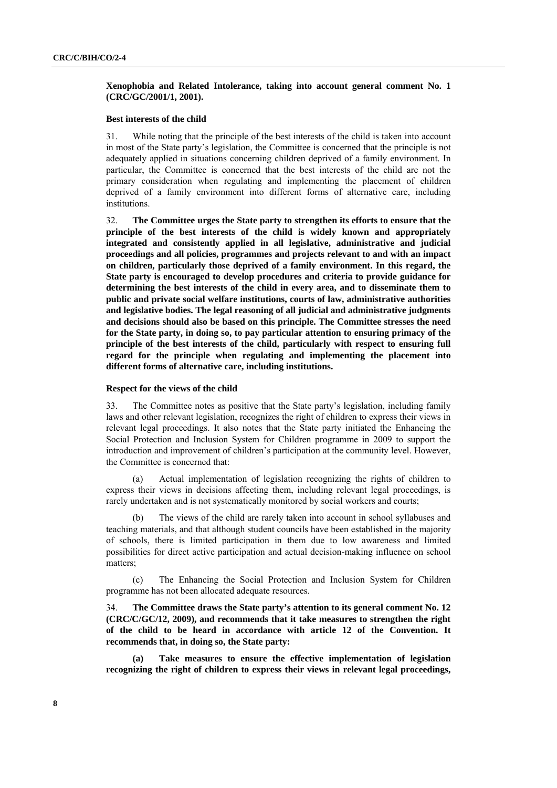# **Xenophobia and Related Intolerance, taking into account general comment No. 1 (CRC/GC/2001/1, 2001).**

### **Best interests of the child**

31. While noting that the principle of the best interests of the child is taken into account in most of the State party's legislation, the Committee is concerned that the principle is not adequately applied in situations concerning children deprived of a family environment. In particular, the Committee is concerned that the best interests of the child are not the primary consideration when regulating and implementing the placement of children deprived of a family environment into different forms of alternative care, including **institutions** 

32. **The Committee urges the State party to strengthen its efforts to ensure that the principle of the best interests of the child is widely known and appropriately integrated and consistently applied in all legislative, administrative and judicial proceedings and all policies, programmes and projects relevant to and with an impact on children, particularly those deprived of a family environment. In this regard, the State party is encouraged to develop procedures and criteria to provide guidance for determining the best interests of the child in every area, and to disseminate them to public and private social welfare institutions, courts of law, administrative authorities and legislative bodies. The legal reasoning of all judicial and administrative judgments and decisions should also be based on this principle. The Committee stresses the need for the State party, in doing so, to pay particular attention to ensuring primacy of the principle of the best interests of the child, particularly with respect to ensuring full regard for the principle when regulating and implementing the placement into different forms of alternative care, including institutions.** 

#### **Respect for the views of the child**

33. The Committee notes as positive that the State party's legislation, including family laws and other relevant legislation, recognizes the right of children to express their views in relevant legal proceedings. It also notes that the State party initiated the Enhancing the Social Protection and Inclusion System for Children programme in 2009 to support the introduction and improvement of children's participation at the community level. However, the Committee is concerned that:

(a) Actual implementation of legislation recognizing the rights of children to express their views in decisions affecting them, including relevant legal proceedings, is rarely undertaken and is not systematically monitored by social workers and courts;

The views of the child are rarely taken into account in school syllabuses and teaching materials, and that although student councils have been established in the majority of schools, there is limited participation in them due to low awareness and limited possibilities for direct active participation and actual decision-making influence on school matters;

(c) The Enhancing the Social Protection and Inclusion System for Children programme has not been allocated adequate resources.

34. **The Committee draws the State party's attention to its general comment No. 12 (CRC/C/GC/12, 2009), and recommends that it take measures to strengthen the right of the child to be heard in accordance with article 12 of the Convention. It recommends that, in doing so, the State party:** 

**(a) Take measures to ensure the effective implementation of legislation recognizing the right of children to express their views in relevant legal proceedings,**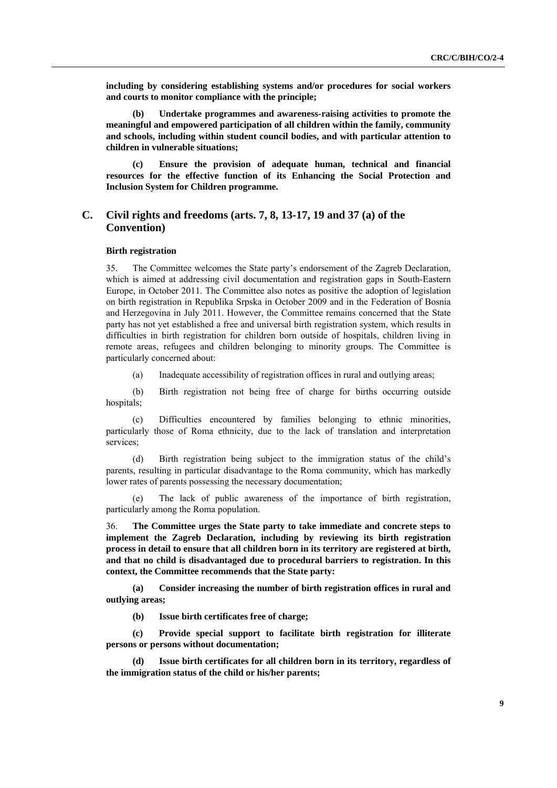**including by considering establishing systems and/or procedures for social workers and courts to monitor compliance with the principle;** 

**(b) Undertake programmes and awareness-raising activities to promote the meaningful and empowered participation of all children within the family, community and schools, including within student council bodies, and with particular attention to children in vulnerable situations;** 

**(c) Ensure the provision of adequate human, technical and financial resources for the effective function of its Enhancing the Social Protection and Inclusion System for Children programme.** 

# **C. Civil rights and freedoms (arts. 7, 8, 13-17, 19 and 37 (a) of the Convention)**

### **Birth registration**

35. The Committee welcomes the State party's endorsement of the Zagreb Declaration, which is aimed at addressing civil documentation and registration gaps in South-Eastern Europe, in October 2011. The Committee also notes as positive the adoption of legislation on birth registration in Republika Srpska in October 2009 and in the Federation of Bosnia and Herzegovina in July 2011. However, the Committee remains concerned that the State party has not yet established a free and universal birth registration system, which results in difficulties in birth registration for children born outside of hospitals, children living in remote areas, refugees and children belonging to minority groups. The Committee is particularly concerned about:

(a) Inadequate accessibility of registration offices in rural and outlying areas;

(b) Birth registration not being free of charge for births occurring outside hospitals;

(c) Difficulties encountered by families belonging to ethnic minorities, particularly those of Roma ethnicity, due to the lack of translation and interpretation services;

(d) Birth registration being subject to the immigration status of the child's parents, resulting in particular disadvantage to the Roma community, which has markedly lower rates of parents possessing the necessary documentation;

The lack of public awareness of the importance of birth registration, particularly among the Roma population.

36. **The Committee urges the State party to take immediate and concrete steps to implement the Zagreb Declaration, including by reviewing its birth registration process in detail to ensure that all children born in its territory are registered at birth, and that no child is disadvantaged due to procedural barriers to registration. In this context, the Committee recommends that the State party:** 

**(a) Consider increasing the number of birth registration offices in rural and outlying areas;** 

**(b) Issue birth certificates free of charge;** 

**(c) Provide special support to facilitate birth registration for illiterate persons or persons without documentation;** 

**Issue birth certificates for all children born in its territory, regardless of the immigration status of the child or his/her parents;**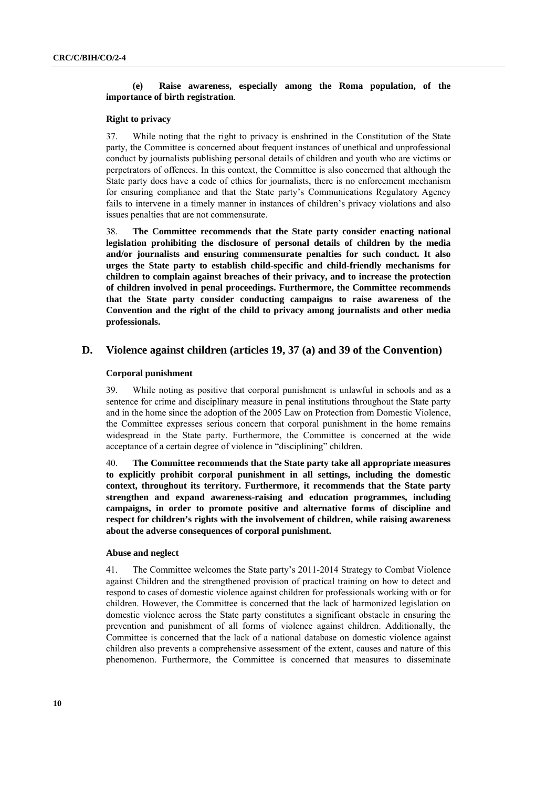# **(e) Raise awareness, especially among the Roma population, of the importance of birth registration**.

# **Right to privacy**

37. While noting that the right to privacy is enshrined in the Constitution of the State party, the Committee is concerned about frequent instances of unethical and unprofessional conduct by journalists publishing personal details of children and youth who are victims or perpetrators of offences. In this context, the Committee is also concerned that although the State party does have a code of ethics for journalists, there is no enforcement mechanism for ensuring compliance and that the State party's Communications Regulatory Agency fails to intervene in a timely manner in instances of children's privacy violations and also issues penalties that are not commensurate.

38. **The Committee recommends that the State party consider enacting national legislation prohibiting the disclosure of personal details of children by the media and/or journalists and ensuring commensurate penalties for such conduct. It also urges the State party to establish child-specific and child-friendly mechanisms for children to complain against breaches of their privacy, and to increase the protection of children involved in penal proceedings. Furthermore, the Committee recommends that the State party consider conducting campaigns to raise awareness of the Convention and the right of the child to privacy among journalists and other media professionals.** 

# **D. Violence against children (articles 19, 37 (a) and 39 of the Convention)**

## **Corporal punishment**

39. While noting as positive that corporal punishment is unlawful in schools and as a sentence for crime and disciplinary measure in penal institutions throughout the State party and in the home since the adoption of the 2005 Law on Protection from Domestic Violence, the Committee expresses serious concern that corporal punishment in the home remains widespread in the State party. Furthermore, the Committee is concerned at the wide acceptance of a certain degree of violence in "disciplining" children.

40. **The Committee recommends that the State party take all appropriate measures to explicitly prohibit corporal punishment in all settings, including the domestic context, throughout its territory. Furthermore, it recommends that the State party strengthen and expand awareness-raising and education programmes, including campaigns, in order to promote positive and alternative forms of discipline and respect for children's rights with the involvement of children, while raising awareness about the adverse consequences of corporal punishment.** 

### **Abuse and neglect**

41. The Committee welcomes the State party's 2011-2014 Strategy to Combat Violence against Children and the strengthened provision of practical training on how to detect and respond to cases of domestic violence against children for professionals working with or for children. However, the Committee is concerned that the lack of harmonized legislation on domestic violence across the State party constitutes a significant obstacle in ensuring the prevention and punishment of all forms of violence against children. Additionally, the Committee is concerned that the lack of a national database on domestic violence against children also prevents a comprehensive assessment of the extent, causes and nature of this phenomenon. Furthermore, the Committee is concerned that measures to disseminate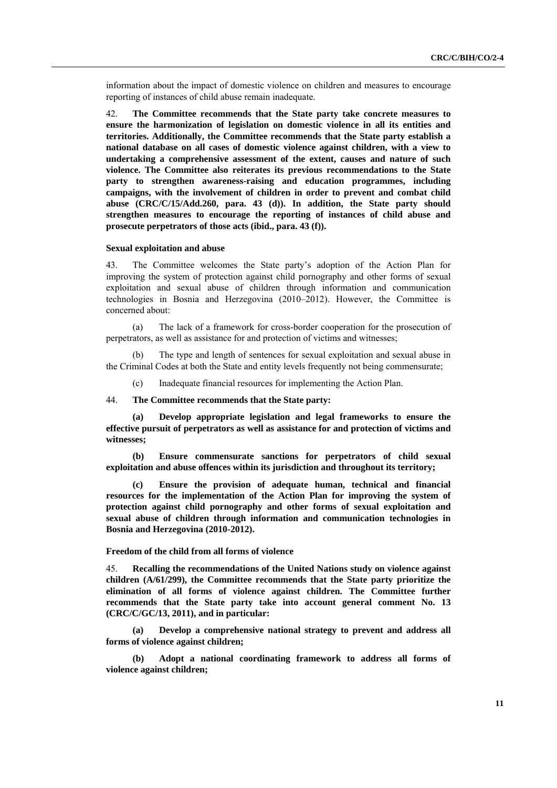information about the impact of domestic violence on children and measures to encourage reporting of instances of child abuse remain inadequate.

42. **The Committee recommends that the State party take concrete measures to ensure the harmonization of legislation on domestic violence in all its entities and territories. Additionally, the Committee recommends that the State party establish a national database on all cases of domestic violence against children, with a view to undertaking a comprehensive assessment of the extent, causes and nature of such violence. The Committee also reiterates its previous recommendations to the State party to strengthen awareness-raising and education programmes, including campaigns, with the involvement of children in order to prevent and combat child abuse (CRC/C/15/Add.260, para. 43 (d)). In addition, the State party should strengthen measures to encourage the reporting of instances of child abuse and prosecute perpetrators of those acts (ibid., para. 43 (f)).** 

#### **Sexual exploitation and abuse**

43. The Committee welcomes the State party's adoption of the Action Plan for improving the system of protection against child pornography and other forms of sexual exploitation and sexual abuse of children through information and communication technologies in Bosnia and Herzegovina (2010–2012). However, the Committee is concerned about:

(a) The lack of a framework for cross-border cooperation for the prosecution of perpetrators, as well as assistance for and protection of victims and witnesses;

(b) The type and length of sentences for sexual exploitation and sexual abuse in the Criminal Codes at both the State and entity levels frequently not being commensurate;

(c) Inadequate financial resources for implementing the Action Plan.

44. **The Committee recommends that the State party:** 

**(a) Develop appropriate legislation and legal frameworks to ensure the effective pursuit of perpetrators as well as assistance for and protection of victims and witnesses;** 

**(b) Ensure commensurate sanctions for perpetrators of child sexual exploitation and abuse offences within its jurisdiction and throughout its territory;** 

**(c) Ensure the provision of adequate human, technical and financial resources for the implementation of the Action Plan for improving the system of protection against child pornography and other forms of sexual exploitation and sexual abuse of children through information and communication technologies in Bosnia and Herzegovina (2010-2012).** 

#### **Freedom of the child from all forms of violence**

45. **Recalling the recommendations of the United Nations study on violence against children (A/61/299), the Committee recommends that the State party prioritize the elimination of all forms of violence against children. The Committee further recommends that the State party take into account general comment No. 13 (CRC/C/GC/13, 2011), and in particular:** 

**(a) Develop a comprehensive national strategy to prevent and address all forms of violence against children;** 

**(b) Adopt a national coordinating framework to address all forms of violence against children;**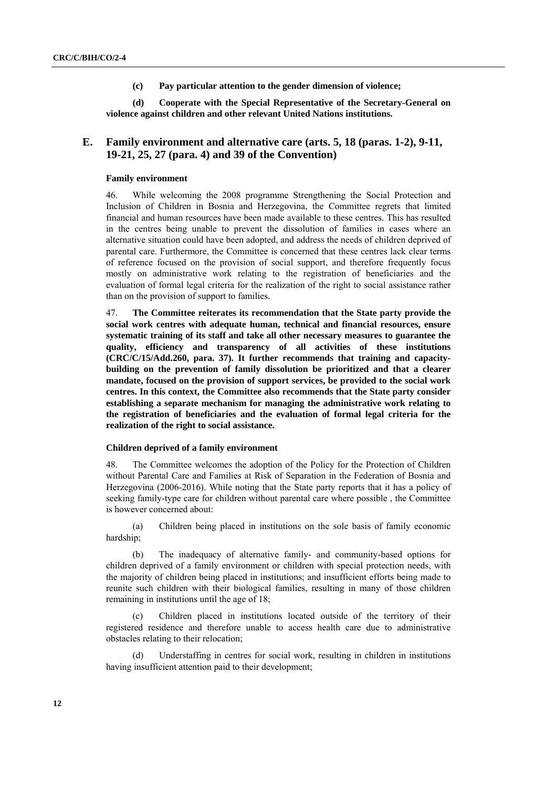**(c) Pay particular attention to the gender dimension of violence;** 

**(d) Cooperate with the Special Representative of the Secretary-General on violence against children and other relevant United Nations institutions.** 

# **E. Family environment and alternative care (arts. 5, 18 (paras. 1-2), 9-11, 19-21, 25, 27 (para. 4) and 39 of the Convention)**

### **Family environment**

46. While welcoming the 2008 programme Strengthening the Social Protection and Inclusion of Children in Bosnia and Herzegovina, the Committee regrets that limited financial and human resources have been made available to these centres. This has resulted in the centres being unable to prevent the dissolution of families in cases where an alternative situation could have been adopted, and address the needs of children deprived of parental care. Furthermore, the Committee is concerned that these centres lack clear terms of reference focused on the provision of social support, and therefore frequently focus mostly on administrative work relating to the registration of beneficiaries and the evaluation of formal legal criteria for the realization of the right to social assistance rather than on the provision of support to families.

47. **The Committee reiterates its recommendation that the State party provide the social work centres with adequate human, technical and financial resources, ensure systematic training of its staff and take all other necessary measures to guarantee the quality, efficiency and transparency of all activities of these institutions (CRC/C/15/Add.260, para. 37). It further recommends that training and capacitybuilding on the prevention of family dissolution be prioritized and that a clearer mandate, focused on the provision of support services, be provided to the social work centres. In this context, the Committee also recommends that the State party consider establishing a separate mechanism for managing the administrative work relating to the registration of beneficiaries and the evaluation of formal legal criteria for the realization of the right to social assistance.** 

## **Children deprived of a family environment**

48. The Committee welcomes the adoption of the Policy for the Protection of Children without Parental Care and Families at Risk of Separation in the Federation of Bosnia and Herzegovina (2006-2016). While noting that the State party reports that it has a policy of seeking family-type care for children without parental care where possible , the Committee is however concerned about:

(a) Children being placed in institutions on the sole basis of family economic hardship;

(b) The inadequacy of alternative family- and community-based options for children deprived of a family environment or children with special protection needs, with the majority of children being placed in institutions; and insufficient efforts being made to reunite such children with their biological families, resulting in many of those children remaining in institutions until the age of 18;

(c) Children placed in institutions located outside of the territory of their registered residence and therefore unable to access health care due to administrative obstacles relating to their relocation;

(d) Understaffing in centres for social work, resulting in children in institutions having insufficient attention paid to their development;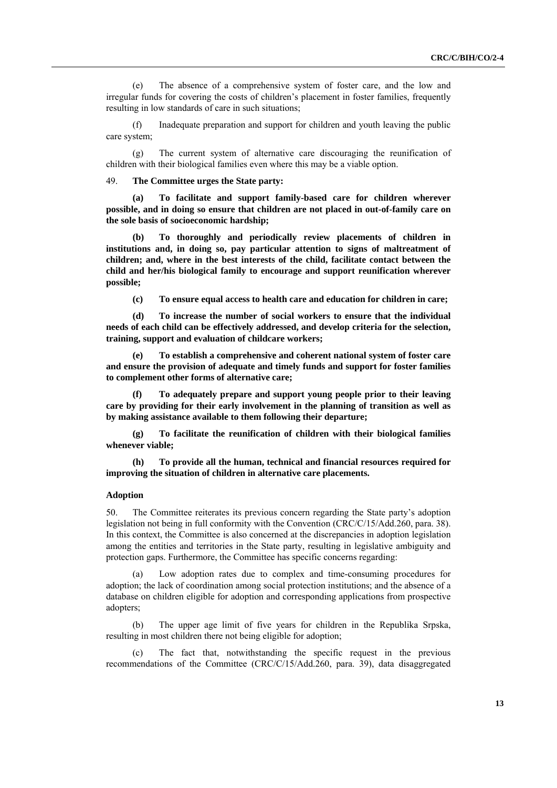(e) The absence of a comprehensive system of foster care, and the low and irregular funds for covering the costs of children's placement in foster families, frequently resulting in low standards of care in such situations;

(f) Inadequate preparation and support for children and youth leaving the public care system;

(g) The current system of alternative care discouraging the reunification of children with their biological families even where this may be a viable option.

49. **The Committee urges the State party:** 

**(a) To facilitate and support family-based care for children wherever possible, and in doing so ensure that children are not placed in out-of-family care on the sole basis of socioeconomic hardship;** 

**(b) To thoroughly and periodically review placements of children in institutions and, in doing so, pay particular attention to signs of maltreatment of children; and, where in the best interests of the child, facilitate contact between the child and her/his biological family to encourage and support reunification wherever possible;** 

**(c) To ensure equal access to health care and education for children in care;** 

**(d) To increase the number of social workers to ensure that the individual needs of each child can be effectively addressed, and develop criteria for the selection, training, support and evaluation of childcare workers;** 

To establish a comprehensive and coherent national system of foster care **and ensure the provision of adequate and timely funds and support for foster families to complement other forms of alternative care;** 

**(f) To adequately prepare and support young people prior to their leaving care by providing for their early involvement in the planning of transition as well as by making assistance available to them following their departure;** 

**(g) To facilitate the reunification of children with their biological families whenever viable;** 

**(h) To provide all the human, technical and financial resources required for improving the situation of children in alternative care placements.** 

#### **Adoption**

50. The Committee reiterates its previous concern regarding the State party's adoption legislation not being in full conformity with the Convention (CRC/C/15/Add.260, para. 38). In this context, the Committee is also concerned at the discrepancies in adoption legislation among the entities and territories in the State party, resulting in legislative ambiguity and protection gaps. Furthermore, the Committee has specific concerns regarding:

(a) Low adoption rates due to complex and time-consuming procedures for adoption; the lack of coordination among social protection institutions; and the absence of a database on children eligible for adoption and corresponding applications from prospective adopters;

(b) The upper age limit of five years for children in the Republika Srpska, resulting in most children there not being eligible for adoption;

(c) The fact that, notwithstanding the specific request in the previous recommendations of the Committee (CRC/C/15/Add.260, para. 39), data disaggregated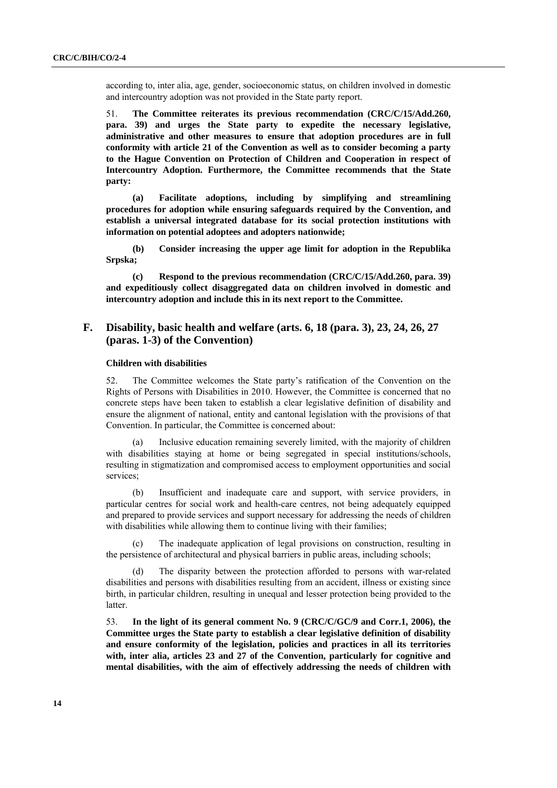according to, inter alia, age, gender, socioeconomic status, on children involved in domestic and intercountry adoption was not provided in the State party report.

51. **The Committee reiterates its previous recommendation (CRC/C/15/Add.260, para. 39) and urges the State party to expedite the necessary legislative, administrative and other measures to ensure that adoption procedures are in full conformity with article 21 of the Convention as well as to consider becoming a party to the Hague Convention on Protection of Children and Cooperation in respect of Intercountry Adoption. Furthermore, the Committee recommends that the State party:** 

**(a) Facilitate adoptions, including by simplifying and streamlining procedures for adoption while ensuring safeguards required by the Convention, and establish a universal integrated database for its social protection institutions with information on potential adoptees and adopters nationwide;** 

**(b) Consider increasing the upper age limit for adoption in the Republika Srpska;** 

**(c) Respond to the previous recommendation (CRC/C/15/Add.260, para. 39) and expeditiously collect disaggregated data on children involved in domestic and intercountry adoption and include this in its next report to the Committee.** 

# **F. Disability, basic health and welfare (arts. 6, 18 (para. 3), 23, 24, 26, 27 (paras. 1-3) of the Convention)**

### **Children with disabilities**

52. The Committee welcomes the State party's ratification of the Convention on the Rights of Persons with Disabilities in 2010. However, the Committee is concerned that no concrete steps have been taken to establish a clear legislative definition of disability and ensure the alignment of national, entity and cantonal legislation with the provisions of that Convention. In particular, the Committee is concerned about:

(a) Inclusive education remaining severely limited, with the majority of children with disabilities staying at home or being segregated in special institutions/schools, resulting in stigmatization and compromised access to employment opportunities and social services;

(b) Insufficient and inadequate care and support, with service providers, in particular centres for social work and health-care centres, not being adequately equipped and prepared to provide services and support necessary for addressing the needs of children with disabilities while allowing them to continue living with their families;

The inadequate application of legal provisions on construction, resulting in the persistence of architectural and physical barriers in public areas, including schools;

(d) The disparity between the protection afforded to persons with war-related disabilities and persons with disabilities resulting from an accident, illness or existing since birth, in particular children, resulting in unequal and lesser protection being provided to the latter.

53. **In the light of its general comment No. 9 (CRC/C/GC/9 and Corr.1, 2006), the Committee urges the State party to establish a clear legislative definition of disability and ensure conformity of the legislation, policies and practices in all its territories with, inter alia, articles 23 and 27 of the Convention, particularly for cognitive and mental disabilities, with the aim of effectively addressing the needs of children with**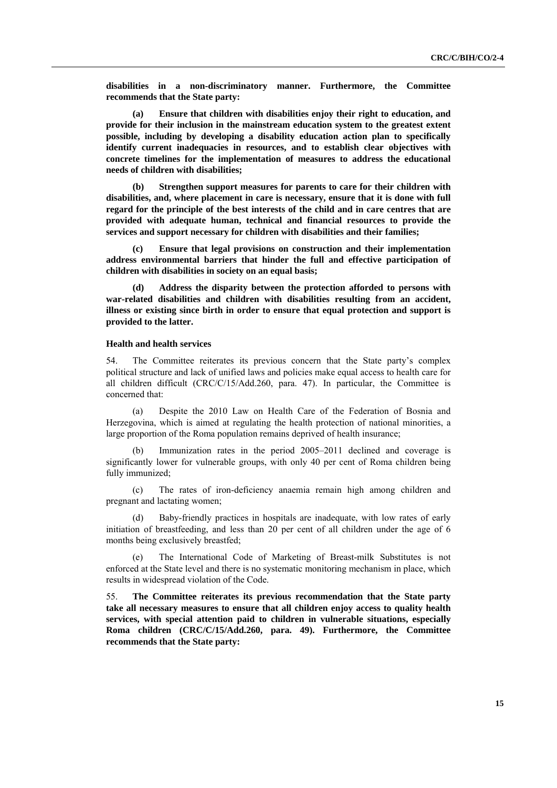**disabilities in a non-discriminatory manner. Furthermore, the Committee recommends that the State party:** 

**(a) Ensure that children with disabilities enjoy their right to education, and provide for their inclusion in the mainstream education system to the greatest extent possible, including by developing a disability education action plan to specifically identify current inadequacies in resources, and to establish clear objectives with concrete timelines for the implementation of measures to address the educational needs of children with disabilities;** 

**(b) Strengthen support measures for parents to care for their children with disabilities, and, where placement in care is necessary, ensure that it is done with full regard for the principle of the best interests of the child and in care centres that are provided with adequate human, technical and financial resources to provide the services and support necessary for children with disabilities and their families;** 

**(c) Ensure that legal provisions on construction and their implementation address environmental barriers that hinder the full and effective participation of children with disabilities in society on an equal basis;** 

**(d) Address the disparity between the protection afforded to persons with war-related disabilities and children with disabilities resulting from an accident, illness or existing since birth in order to ensure that equal protection and support is provided to the latter.** 

#### **Health and health services**

54. The Committee reiterates its previous concern that the State party's complex political structure and lack of unified laws and policies make equal access to health care for all children difficult (CRC/C/15/Add.260, para. 47). In particular, the Committee is concerned that:

(a) Despite the 2010 Law on Health Care of the Federation of Bosnia and Herzegovina, which is aimed at regulating the health protection of national minorities, a large proportion of the Roma population remains deprived of health insurance;

(b) Immunization rates in the period 2005–2011 declined and coverage is significantly lower for vulnerable groups, with only 40 per cent of Roma children being fully immunized;

(c) The rates of iron-deficiency anaemia remain high among children and pregnant and lactating women;

Baby-friendly practices in hospitals are inadequate, with low rates of early initiation of breastfeeding, and less than 20 per cent of all children under the age of 6 months being exclusively breastfed;

(e) The International Code of Marketing of Breast-milk Substitutes is not enforced at the State level and there is no systematic monitoring mechanism in place, which results in widespread violation of the Code.

55. **The Committee reiterates its previous recommendation that the State party take all necessary measures to ensure that all children enjoy access to quality health services, with special attention paid to children in vulnerable situations, especially Roma children (CRC/C/15/Add.260, para. 49). Furthermore, the Committee recommends that the State party:**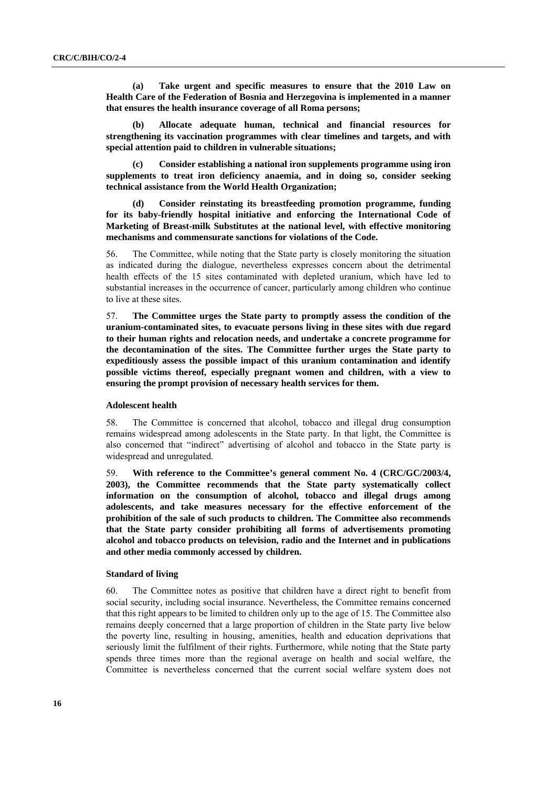**(a) Take urgent and specific measures to ensure that the 2010 Law on Health Care of the Federation of Bosnia and Herzegovina is implemented in a manner that ensures the health insurance coverage of all Roma persons;** 

**(b) Allocate adequate human, technical and financial resources for strengthening its vaccination programmes with clear timelines and targets, and with special attention paid to children in vulnerable situations;** 

**(c) Consider establishing a national iron supplements programme using iron supplements to treat iron deficiency anaemia, and in doing so, consider seeking technical assistance from the World Health Organization;** 

**Consider reinstating its breastfeeding promotion programme, funding for its baby-friendly hospital initiative and enforcing the International Code of Marketing of Breast-milk Substitutes at the national level, with effective monitoring mechanisms and commensurate sanctions for violations of the Code.** 

56. The Committee, while noting that the State party is closely monitoring the situation as indicated during the dialogue, nevertheless expresses concern about the detrimental health effects of the 15 sites contaminated with depleted uranium, which have led to substantial increases in the occurrence of cancer, particularly among children who continue to live at these sites.

57. **The Committee urges the State party to promptly assess the condition of the uranium-contaminated sites, to evacuate persons living in these sites with due regard to their human rights and relocation needs, and undertake a concrete programme for the decontamination of the sites. The Committee further urges the State party to expeditiously assess the possible impact of this uranium contamination and identify possible victims thereof, especially pregnant women and children, with a view to ensuring the prompt provision of necessary health services for them.** 

### **Adolescent health**

58. The Committee is concerned that alcohol, tobacco and illegal drug consumption remains widespread among adolescents in the State party. In that light, the Committee is also concerned that "indirect" advertising of alcohol and tobacco in the State party is widespread and unregulated.

59. **With reference to the Committee's general comment No. 4 (CRC/GC/2003/4, 2003), the Committee recommends that the State party systematically collect information on the consumption of alcohol, tobacco and illegal drugs among adolescents, and take measures necessary for the effective enforcement of the prohibition of the sale of such products to children. The Committee also recommends that the State party consider prohibiting all forms of advertisements promoting alcohol and tobacco products on television, radio and the Internet and in publications and other media commonly accessed by children.** 

### **Standard of living**

60. The Committee notes as positive that children have a direct right to benefit from social security, including social insurance. Nevertheless, the Committee remains concerned that this right appears to be limited to children only up to the age of 15. The Committee also remains deeply concerned that a large proportion of children in the State party live below the poverty line, resulting in housing, amenities, health and education deprivations that seriously limit the fulfilment of their rights. Furthermore, while noting that the State party spends three times more than the regional average on health and social welfare, the Committee is nevertheless concerned that the current social welfare system does not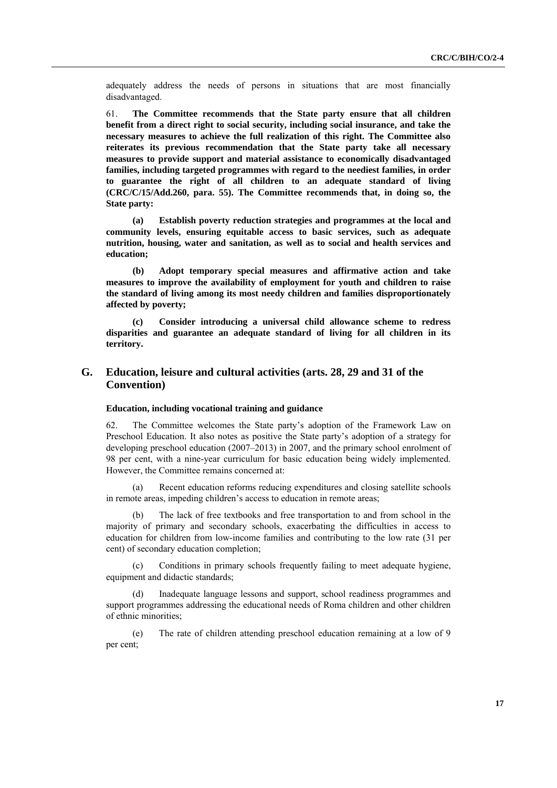adequately address the needs of persons in situations that are most financially disadvantaged.

61. **The Committee recommends that the State party ensure that all children benefit from a direct right to social security, including social insurance, and take the necessary measures to achieve the full realization of this right. The Committee also reiterates its previous recommendation that the State party take all necessary measures to provide support and material assistance to economically disadvantaged families, including targeted programmes with regard to the neediest families, in order to guarantee the right of all children to an adequate standard of living (CRC/C/15/Add.260, para. 55). The Committee recommends that, in doing so, the State party:** 

**(a) Establish poverty reduction strategies and programmes at the local and community levels, ensuring equitable access to basic services, such as adequate nutrition, housing, water and sanitation, as well as to social and health services and education;** 

**(b) Adopt temporary special measures and affirmative action and take measures to improve the availability of employment for youth and children to raise the standard of living among its most needy children and families disproportionately affected by poverty;** 

**(c) Consider introducing a universal child allowance scheme to redress disparities and guarantee an adequate standard of living for all children in its territory.** 

# **G. Education, leisure and cultural activities (arts. 28, 29 and 31 of the Convention)**

### **Education, including vocational training and guidance**

62. The Committee welcomes the State party's adoption of the Framework Law on Preschool Education. It also notes as positive the State party's adoption of a strategy for developing preschool education (2007–2013) in 2007, and the primary school enrolment of 98 per cent, with a nine-year curriculum for basic education being widely implemented. However, the Committee remains concerned at:

(a) Recent education reforms reducing expenditures and closing satellite schools in remote areas, impeding children's access to education in remote areas;

(b) The lack of free textbooks and free transportation to and from school in the majority of primary and secondary schools, exacerbating the difficulties in access to education for children from low-income families and contributing to the low rate (31 per cent) of secondary education completion;

(c) Conditions in primary schools frequently failing to meet adequate hygiene, equipment and didactic standards;

Inadequate language lessons and support, school readiness programmes and support programmes addressing the educational needs of Roma children and other children of ethnic minorities;

(e) The rate of children attending preschool education remaining at a low of 9 per cent;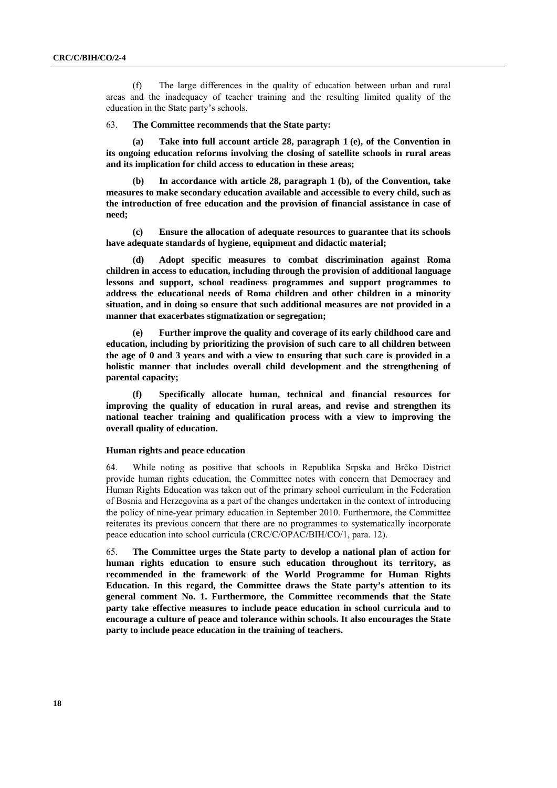(f) The large differences in the quality of education between urban and rural areas and the inadequacy of teacher training and the resulting limited quality of the education in the State party's schools.

#### 63. **The Committee recommends that the State party:**

**(a) Take into full account article 28, paragraph 1 (e), of the Convention in its ongoing education reforms involving the closing of satellite schools in rural areas and its implication for child access to education in these areas;** 

**(b) In accordance with article 28, paragraph 1 (b), of the Convention, take measures to make secondary education available and accessible to every child, such as the introduction of free education and the provision of financial assistance in case of need;** 

**(c) Ensure the allocation of adequate resources to guarantee that its schools have adequate standards of hygiene, equipment and didactic material;** 

**(d) Adopt specific measures to combat discrimination against Roma children in access to education, including through the provision of additional language lessons and support, school readiness programmes and support programmes to address the educational needs of Roma children and other children in a minority situation, and in doing so ensure that such additional measures are not provided in a manner that exacerbates stigmatization or segregation;** 

Further improve the quality and coverage of its early childhood care and **education, including by prioritizing the provision of such care to all children between the age of 0 and 3 years and with a view to ensuring that such care is provided in a holistic manner that includes overall child development and the strengthening of parental capacity;** 

**(f) Specifically allocate human, technical and financial resources for improving the quality of education in rural areas, and revise and strengthen its national teacher training and qualification process with a view to improving the overall quality of education.** 

### **Human rights and peace education**

64. While noting as positive that schools in Republika Srpska and Brčko District provide human rights education, the Committee notes with concern that Democracy and Human Rights Education was taken out of the primary school curriculum in the Federation of Bosnia and Herzegovina as a part of the changes undertaken in the context of introducing the policy of nine-year primary education in September 2010. Furthermore, the Committee reiterates its previous concern that there are no programmes to systematically incorporate peace education into school curricula (CRC/C/OPAC/BIH/CO/1, para. 12).

65. **The Committee urges the State party to develop a national plan of action for human rights education to ensure such education throughout its territory, as recommended in the framework of the World Programme for Human Rights Education. In this regard, the Committee draws the State party's attention to its general comment No. 1. Furthermore, the Committee recommends that the State party take effective measures to include peace education in school curricula and to encourage a culture of peace and tolerance within schools. It also encourages the State party to include peace education in the training of teachers.**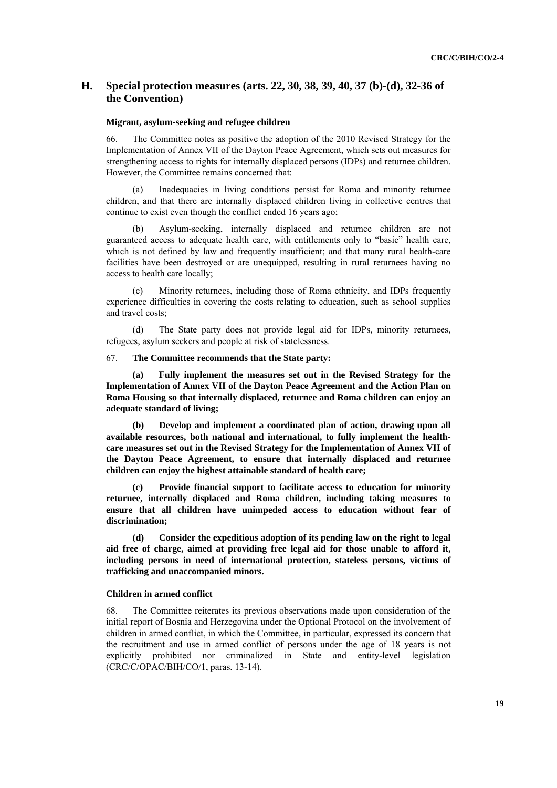# **H. Special protection measures (arts. 22, 30, 38, 39, 40, 37 (b)-(d), 32-36 of the Convention)**

### **Migrant, asylum-seeking and refugee children**

66. The Committee notes as positive the adoption of the 2010 Revised Strategy for the Implementation of Annex VII of the Dayton Peace Agreement, which sets out measures for strengthening access to rights for internally displaced persons (IDPs) and returnee children. However, the Committee remains concerned that:

(a) Inadequacies in living conditions persist for Roma and minority returnee children, and that there are internally displaced children living in collective centres that continue to exist even though the conflict ended 16 years ago;

Asylum-seeking, internally displaced and returnee children are not guaranteed access to adequate health care, with entitlements only to "basic" health care, which is not defined by law and frequently insufficient; and that many rural health-care facilities have been destroyed or are unequipped, resulting in rural returnees having no access to health care locally;

Minority returnees, including those of Roma ethnicity, and IDPs frequently experience difficulties in covering the costs relating to education, such as school supplies and travel costs;

(d) The State party does not provide legal aid for IDPs, minority returnees, refugees, asylum seekers and people at risk of statelessness.

### 67. **The Committee recommends that the State party:**

**(a) Fully implement the measures set out in the Revised Strategy for the Implementation of Annex VII of the Dayton Peace Agreement and the Action Plan on Roma Housing so that internally displaced, returnee and Roma children can enjoy an adequate standard of living;** 

**(b) Develop and implement a coordinated plan of action, drawing upon all available resources, both national and international, to fully implement the healthcare measures set out in the Revised Strategy for the Implementation of Annex VII of the Dayton Peace Agreement, to ensure that internally displaced and returnee children can enjoy the highest attainable standard of health care;** 

**(c) Provide financial support to facilitate access to education for minority returnee, internally displaced and Roma children, including taking measures to ensure that all children have unimpeded access to education without fear of discrimination;** 

**(d) Consider the expeditious adoption of its pending law on the right to legal aid free of charge, aimed at providing free legal aid for those unable to afford it, including persons in need of international protection, stateless persons, victims of trafficking and unaccompanied minors.** 

#### **Children in armed conflict**

68. The Committee reiterates its previous observations made upon consideration of the initial report of Bosnia and Herzegovina under the Optional Protocol on the involvement of children in armed conflict, in which the Committee, in particular, expressed its concern that the recruitment and use in armed conflict of persons under the age of 18 years is not explicitly prohibited nor criminalized in State and entity-level legislation (CRC/C/OPAC/BIH/CO/1, paras. 13-14).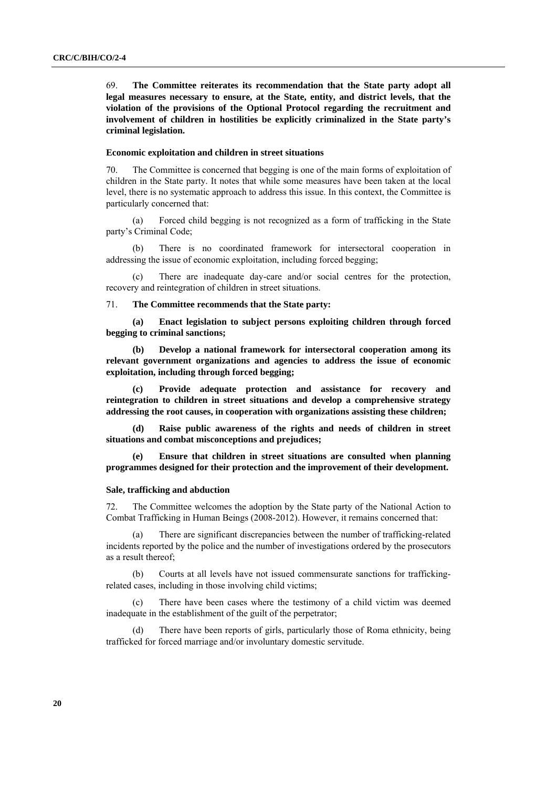69. **The Committee reiterates its recommendation that the State party adopt all legal measures necessary to ensure, at the State, entity, and district levels, that the violation of the provisions of the Optional Protocol regarding the recruitment and involvement of children in hostilities be explicitly criminalized in the State party's criminal legislation.** 

### **Economic exploitation and children in street situations**

70. The Committee is concerned that begging is one of the main forms of exploitation of children in the State party. It notes that while some measures have been taken at the local level, there is no systematic approach to address this issue. In this context, the Committee is particularly concerned that:

(a) Forced child begging is not recognized as a form of trafficking in the State party's Criminal Code;

(b) There is no coordinated framework for intersectoral cooperation in addressing the issue of economic exploitation, including forced begging;

(c) There are inadequate day-care and/or social centres for the protection, recovery and reintegration of children in street situations.

# 71. **The Committee recommends that the State party:**

**(a) Enact legislation to subject persons exploiting children through forced begging to criminal sanctions;** 

**(b) Develop a national framework for intersectoral cooperation among its relevant government organizations and agencies to address the issue of economic exploitation, including through forced begging;** 

**(c) Provide adequate protection and assistance for recovery and reintegration to children in street situations and develop a comprehensive strategy addressing the root causes, in cooperation with organizations assisting these children;** 

**(d) Raise public awareness of the rights and needs of children in street situations and combat misconceptions and prejudices;** 

**Ensure that children in street situations are consulted when planning programmes designed for their protection and the improvement of their development.** 

### **Sale, trafficking and abduction**

72. The Committee welcomes the adoption by the State party of the National Action to Combat Trafficking in Human Beings (2008-2012). However, it remains concerned that:

(a) There are significant discrepancies between the number of trafficking-related incidents reported by the police and the number of investigations ordered by the prosecutors as a result thereof;

(b) Courts at all levels have not issued commensurate sanctions for traffickingrelated cases, including in those involving child victims;

There have been cases where the testimony of a child victim was deemed inadequate in the establishment of the guilt of the perpetrator;

(d) There have been reports of girls, particularly those of Roma ethnicity, being trafficked for forced marriage and/or involuntary domestic servitude.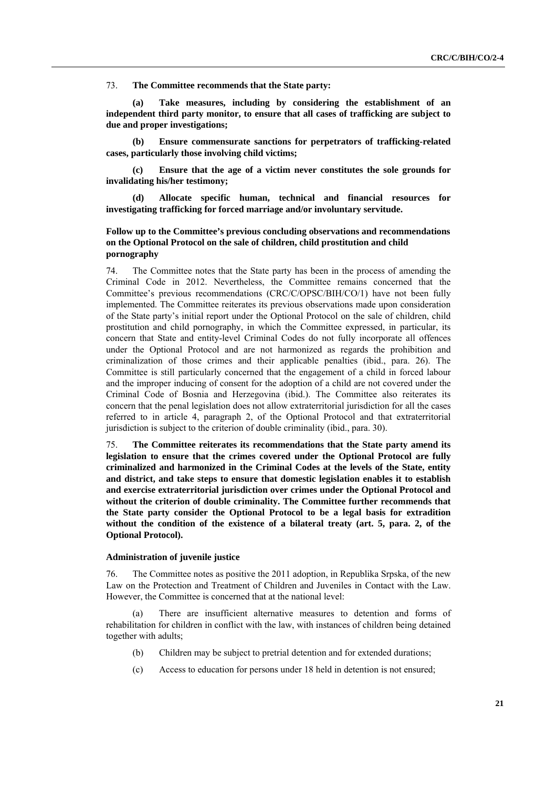73. **The Committee recommends that the State party:** 

Take measures, including by considering the establishment of an **independent third party monitor, to ensure that all cases of trafficking are subject to due and proper investigations;** 

**(b) Ensure commensurate sanctions for perpetrators of trafficking-related cases, particularly those involving child victims;** 

**(c) Ensure that the age of a victim never constitutes the sole grounds for invalidating his/her testimony;** 

**(d) Allocate specific human, technical and financial resources for investigating trafficking for forced marriage and/or involuntary servitude.** 

# **Follow up to the Committee's previous concluding observations and recommendations on the Optional Protocol on the sale of children, child prostitution and child pornography**

74. The Committee notes that the State party has been in the process of amending the Criminal Code in 2012. Nevertheless, the Committee remains concerned that the Committee's previous recommendations (CRC/C/OPSC/BIH/CO/1) have not been fully implemented. The Committee reiterates its previous observations made upon consideration of the State party's initial report under the Optional Protocol on the sale of children, child prostitution and child pornography, in which the Committee expressed, in particular, its concern that State and entity-level Criminal Codes do not fully incorporate all offences under the Optional Protocol and are not harmonized as regards the prohibition and criminalization of those crimes and their applicable penalties (ibid., para. 26). The Committee is still particularly concerned that the engagement of a child in forced labour and the improper inducing of consent for the adoption of a child are not covered under the Criminal Code of Bosnia and Herzegovina (ibid.). The Committee also reiterates its concern that the penal legislation does not allow extraterritorial jurisdiction for all the cases referred to in article 4, paragraph 2, of the Optional Protocol and that extraterritorial jurisdiction is subject to the criterion of double criminality (ibid., para. 30).

75. **The Committee reiterates its recommendations that the State party amend its legislation to ensure that the crimes covered under the Optional Protocol are fully criminalized and harmonized in the Criminal Codes at the levels of the State, entity and district, and take steps to ensure that domestic legislation enables it to establish and exercise extraterritorial jurisdiction over crimes under the Optional Protocol and without the criterion of double criminality. The Committee further recommends that the State party consider the Optional Protocol to be a legal basis for extradition without the condition of the existence of a bilateral treaty (art. 5, para. 2, of the Optional Protocol).** 

### **Administration of juvenile justice**

76. The Committee notes as positive the 2011 adoption, in Republika Srpska, of the new Law on the Protection and Treatment of Children and Juveniles in Contact with the Law. However, the Committee is concerned that at the national level:

(a) There are insufficient alternative measures to detention and forms of rehabilitation for children in conflict with the law, with instances of children being detained together with adults;

- (b) Children may be subject to pretrial detention and for extended durations;
- (c) Access to education for persons under 18 held in detention is not ensured;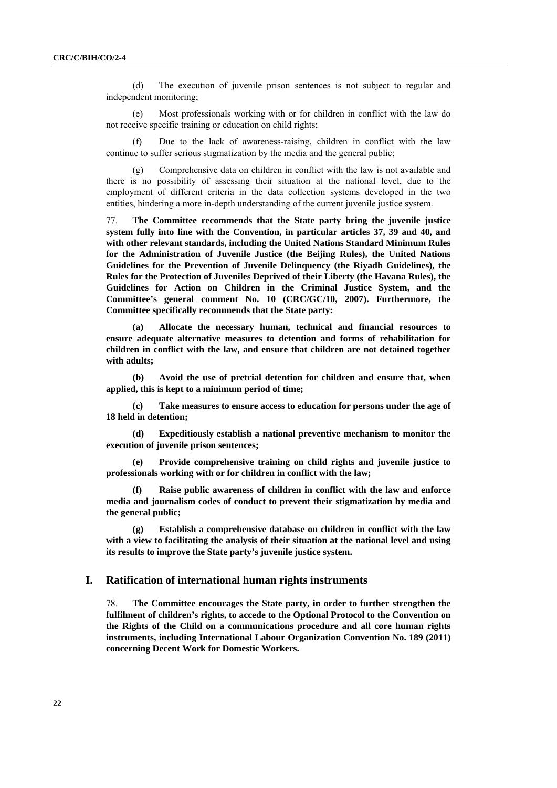(d) The execution of juvenile prison sentences is not subject to regular and independent monitoring;

(e) Most professionals working with or for children in conflict with the law do not receive specific training or education on child rights;

Due to the lack of awareness-raising, children in conflict with the law continue to suffer serious stigmatization by the media and the general public;

(g) Comprehensive data on children in conflict with the law is not available and there is no possibility of assessing their situation at the national level, due to the employment of different criteria in the data collection systems developed in the two entities, hindering a more in-depth understanding of the current juvenile justice system.

77. **The Committee recommends that the State party bring the juvenile justice system fully into line with the Convention, in particular articles 37, 39 and 40, and with other relevant standards, including the United Nations Standard Minimum Rules for the Administration of Juvenile Justice (the Beijing Rules), the United Nations Guidelines for the Prevention of Juvenile Delinquency (the Riyadh Guidelines), the Rules for the Protection of Juveniles Deprived of their Liberty (the Havana Rules), the Guidelines for Action on Children in the Criminal Justice System, and the Committee's general comment No. 10 (CRC/GC/10, 2007). Furthermore, the Committee specifically recommends that the State party:** 

**(a) Allocate the necessary human, technical and financial resources to ensure adequate alternative measures to detention and forms of rehabilitation for children in conflict with the law, and ensure that children are not detained together with adults;** 

**(b) Avoid the use of pretrial detention for children and ensure that, when applied, this is kept to a minimum period of time;** 

**(c) Take measures to ensure access to education for persons under the age of 18 held in detention;** 

**(d) Expeditiously establish a national preventive mechanism to monitor the execution of juvenile prison sentences;** 

**(e) Provide comprehensive training on child rights and juvenile justice to professionals working with or for children in conflict with the law;** 

**(f) Raise public awareness of children in conflict with the law and enforce media and journalism codes of conduct to prevent their stigmatization by media and the general public;** 

**(g) Establish a comprehensive database on children in conflict with the law with a view to facilitating the analysis of their situation at the national level and using its results to improve the State party's juvenile justice system.** 

# **I. Ratification of international human rights instruments**

78. **The Committee encourages the State party, in order to further strengthen the fulfilment of children's rights, to accede to the Optional Protocol to the Convention on the Rights of the Child on a communications procedure and all core human rights instruments, including International Labour Organization Convention No. 189 (2011) concerning Decent Work for Domestic Workers.**